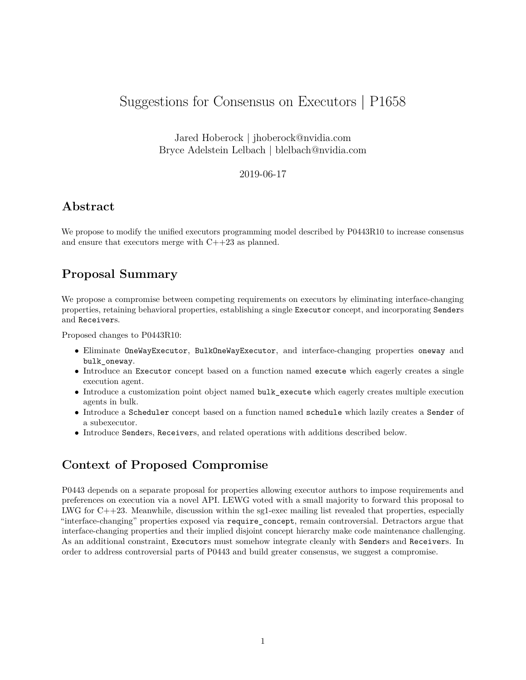## Suggestions for Consensus on Executors | P1658

Jared Hoberock | jhoberock@nvidia.com Bryce Adelstein Lelbach | blelbach@nvidia.com

#### 2019-06-17

#### **Abstract**

We propose to modify the unified executors programming model described by P0443R10 to increase consensus and ensure that executors merge with C++23 as planned.

#### **Proposal Summary**

We propose a compromise between competing requirements on executors by eliminating interface-changing properties, retaining behavioral properties, establishing a single Executor concept, and incorporating Senders and Receivers.

Proposed changes to P0443R10:

- Eliminate OneWayExecutor, BulkOneWayExecutor, and interface-changing properties oneway and bulk\_oneway.
- Introduce an Executor concept based on a function named execute which eagerly creates a single execution agent.
- Introduce a customization point object named bulk\_execute which eagerly creates multiple execution agents in bulk.
- Introduce a Scheduler concept based on a function named schedule which lazily creates a Sender of a subexecutor.
- Introduce Senders, Receivers, and related operations with additions described below.

### **Context of Proposed Compromise**

P0443 depends on [a separate proposal for properties](https://wg21.link/P1393) allowing executor authors to impose requirements and preferences on execution via a novel API. LEWG voted with a small majority to forward this proposal to LWG for  $C++23$ . Meanwhile, discussion within the sg1-exec mailing list revealed that properties, especially "interface-changing" properties exposed via require\_concept, remain controversial. Detractors argue that interface-changing properties and their implied disjoint concept hierarchy make code maintenance challenging. As an additional constraint, Executors must somehow integrate cleanly with Senders and Receivers. In order to address controversial parts of P0443 and build greater consensus, we suggest a compromise.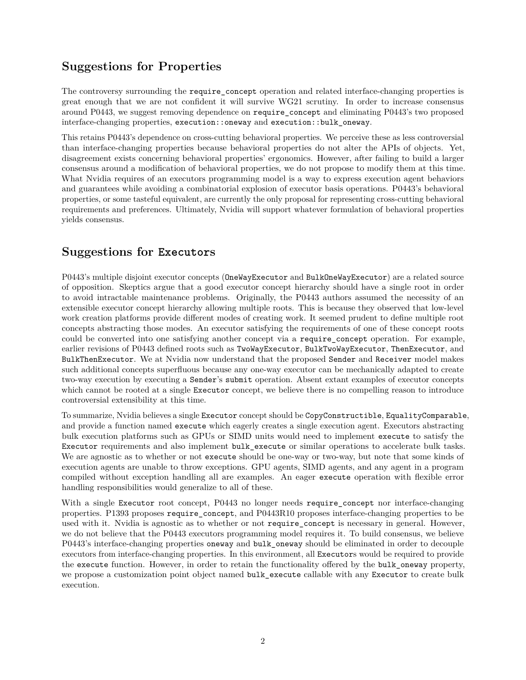### **Suggestions for Properties**

The controversy surrounding the require\_concept operation and related interface-changing properties is great enough that we are not confident it will survive WG21 scrutiny. In order to increase consensus around P0443, we suggest removing dependence on require\_concept and eliminating P0443's two proposed interface-changing properties, execution::oneway and execution::bulk\_oneway.

This retains P0443's dependence on cross-cutting behavioral properties. We perceive these as less controversial than interface-changing properties because behavioral properties do not alter the APIs of objects. Yet, disagreement exists concerning behavioral properties' ergonomics. However, after failing to build a larger consensus around a modification of behavioral properties, we do not propose to modify them at this time. What Nvidia requires of an executors programming model is a way to express execution agent behaviors and guarantees while [avoiding a combinatorial explosion of executor basis operations.](https://wg21.link/P0688) P0443's behavioral properties, or some tasteful equivalent, are currently the only proposal for representing cross-cutting behavioral requirements and preferences. Ultimately, Nvidia will support whatever formulation of behavioral properties yields consensus.

### **Suggestions for Executors**

P0443's multiple disjoint executor concepts (OneWayExecutor and BulkOneWayExecutor) are a related source of opposition. Skeptics argue that a good executor concept hierarchy should have a single root in order to avoid intractable maintenance problems. Originally, the P0443 authors assumed the necessity of an extensible executor concept hierarchy allowing multiple roots. This is because they observed that low-level work creation platforms provide different modes of creating work. It seemed prudent to define multiple root concepts abstracting those modes. An executor satisfying the requirements of one of these concept roots could be converted into one satisfying another concept via a require\_concept operation. For example, earlier revisions of P0443 defined roots such as TwoWayExecutor, BulkTwoWayExecutor, ThenExecutor, and BulkThenExecutor. We at Nvidia now understand that the proposed Sender and Receiver model makes such additional concepts superfluous because any one-way executor can be mechanically adapted to create two-way execution by executing a Sender's submit operation. Absent extant examples of executor concepts which cannot be rooted at a single Executor concept, we believe there is no compelling reason to introduce controversial extensibility at this time.

To summarize, Nvidia believes a single Executor concept should be CopyConstructible, EqualityComparable, and provide a function named execute which eagerly creates a single execution agent. Executors abstracting bulk execution platforms such as GPUs or SIMD units would need to implement execute to satisfy the Executor requirements and also implement bulk\_execute or similar operations to accelerate bulk tasks. We are agnostic as to whether or not execute should be one-way or two-way, but note that some kinds of execution agents are unable to throw exceptions. GPU agents, SIMD agents, and any agent in a program compiled without exception handling all are examples. An eager execute operation with flexible error handling responsibilities would generalize to all of these.

With a single Executor root concept, P0443 no longer needs require concept nor interface-changing properties. P1393 proposes require\_concept, and P0443R10 proposes interface-changing properties to be used with it. Nvidia is agnostic as to whether or not require concept is necessary in general. However, we do not believe that the P0443 executors programming model requires it. To build consensus, we believe P0443's interface-changing properties oneway and bulk oneway should be eliminated in order to decouple executors from interface-changing properties. In this environment, all Executors would be required to provide the execute function. However, in order to retain the functionality offered by the bulk\_oneway property, we propose a customization point object named bulk\_execute callable with any Executor to create bulk execution.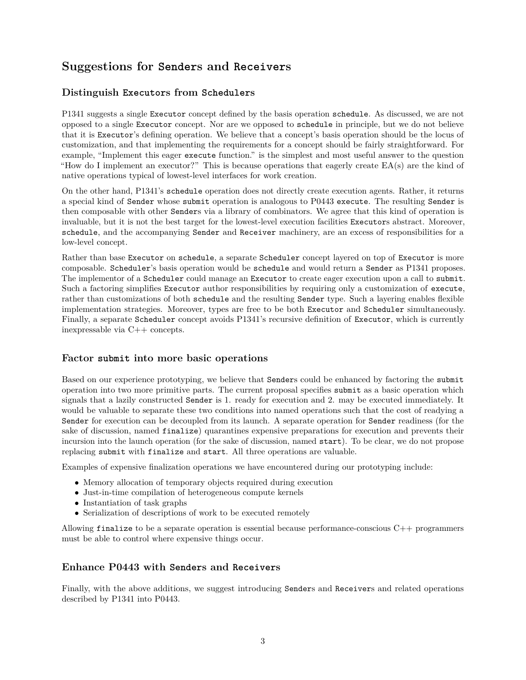### **Suggestions for Senders and Receivers**

#### **Distinguish Executors from Schedulers**

P1341 suggests a single Executor concept defined by the basis operation schedule. As discussed, we are not opposed to a single Executor concept. Nor are we opposed to schedule in principle, but we do not believe that it is Executor's defining operation. We believe that a concept's basis operation should be the locus of customization, and that implementing the requirements for a concept should be fairly straightforward. For example, "Implement this eager execute function." is the simplest and most useful answer to the question "How do I implement an executor?" This is because operations that eagerly create EA(s) are the kind of native operations typical of lowest-level interfaces for work creation.

On the other hand, P1341's schedule operation does not directly create execution agents. Rather, it returns a special kind of Sender whose submit operation is analogous to P0443 execute. The resulting Sender is then composable with other Senders via a library of combinators. We agree that this kind of operation is invaluable, but it is not the best target for the lowest-level execution facilities Executors abstract. Moreover, schedule, and the accompanying Sender and Receiver machinery, are an excess of responsibilities for a low-level concept.

Rather than base Executor on schedule, a separate Scheduler concept layered on top of Executor is more composable. Scheduler's basis operation would be schedule and would return a Sender as P1341 proposes. The implementor of a Scheduler could manage an Executor to create eager execution upon a call to submit. Such a factoring simplifies Executor author responsibilities by requiring only a customization of execute, rather than customizations of both schedule and the resulting Sender type. Such a layering enables flexible implementation strategies. Moreover, types are free to be both Executor and Scheduler simultaneously. Finally, a separate Scheduler concept avoids P1341's recursive definition of Executor, which is currently inexpressable via C++ concepts.

#### **Factor submit into more basic operations**

Based on our experience prototyping, we believe that Senders could be enhanced by factoring the submit operation into two more primitive parts. The current proposal specifies submit as a basic operation which signals that a lazily constructed Sender is 1. ready for execution and 2. may be executed immediately. It would be valuable to separate these two conditions into named operations such that the cost of readying a Sender for execution can be decoupled from its launch. A separate operation for Sender readiness (for the sake of discussion, named finalize) quarantines expensive preparations for execution and prevents their incursion into the launch operation (for the sake of discussion, named start). To be clear, we do not propose replacing submit with finalize and start. All three operations are valuable.

Examples of expensive finalization operations we have encountered during our prototyping include:

- Memory allocation of temporary objects required during execution
- Just-in-time compilation of heterogeneous compute kernels
- Instantiation of task graphs
- Serialization of descriptions of work to be executed remotely

Allowing finalize to be a separate operation is essential because performance-conscious  $C_{++}$  programmers must be able to control where expensive things occur.

#### **Enhance P0443 with Senders and Receivers**

Finally, with the above additions, we suggest introducing Senders and Receivers and related operations described by P1341 into P0443.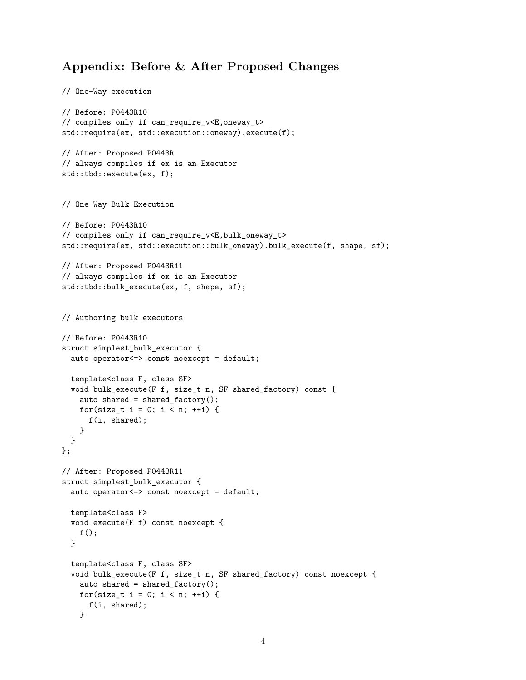#### **Appendix: Before & After Proposed Changes**

```
// One-Way execution
// Before: P0443R10
// compiles only if can_require_v<E,oneway_t>
std::require(ex, std::execution::oneway).execute(f);
// After: Proposed P0443R
// always compiles if ex is an Executor
std::tbd::execute(ex, f);
// One-Way Bulk Execution
// Before: P0443R10
// compiles only if can_require_v<E,bulk_oneway_t>
std::require(ex, std::execution::bulk_oneway).bulk_execute(f, shape, sf);
// After: Proposed P0443R11
// always compiles if ex is an Executor
std::tbd::bulk_execute(ex, f, shape, sf);
// Authoring bulk executors
// Before: P0443R10
struct simplest_bulk_executor {
 auto operator<=> const noexcept = default;
 template<class F, class SF>
  void bulk_execute(F f, size_t n, SF shared_factory) const {
   auto shared = shared_factory();
   for(size_t i = 0; i < n; ++i) {
     f(i, shared);
   }
 }
};
// After: Proposed P0443R11
struct simplest_bulk_executor {
 auto operator<=> const noexcept = default;
 template<class F>
 void execute(F f) const noexcept {
   f();
 }
  template<class F, class SF>
  void bulk_execute(F f, size_t n, SF shared_factory) const noexcept {
   auto shared = shared_factory();
   for(size_t i = 0; i < n; ++i) {
     f(i, shared);
   }
```